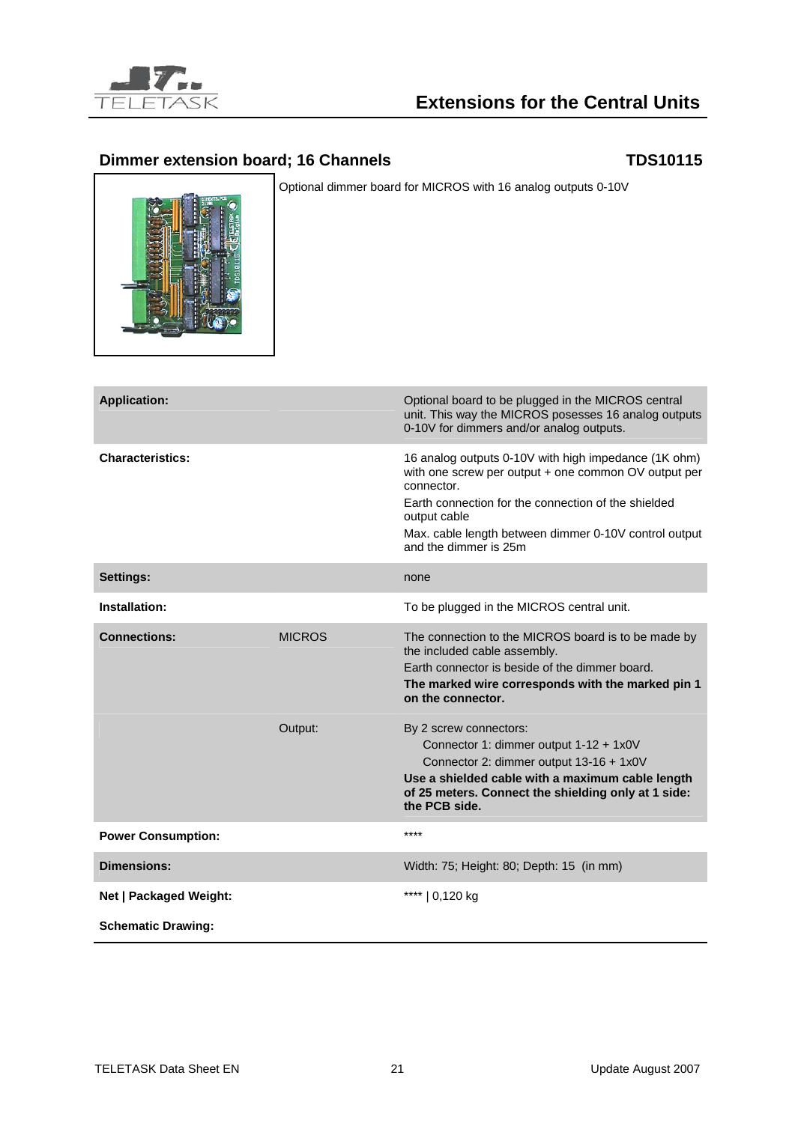

## **Extensions for the Central Units**

## **Dimmer extension board; 16 Channels TDS10115**



Optional dimmer board for MICROS with 16 analog outputs 0-10V

| <b>Application:</b>       |               | Optional board to be plugged in the MICROS central<br>unit. This way the MICROS posesses 16 analog outputs<br>0-10V for dimmers and/or analog outputs.                                                                                                                              |
|---------------------------|---------------|-------------------------------------------------------------------------------------------------------------------------------------------------------------------------------------------------------------------------------------------------------------------------------------|
| <b>Characteristics:</b>   |               | 16 analog outputs 0-10V with high impedance (1K ohm)<br>with one screw per output + one common OV output per<br>connector.<br>Earth connection for the connection of the shielded<br>output cable<br>Max. cable length between dimmer 0-10V control output<br>and the dimmer is 25m |
| <b>Settings:</b>          |               | none                                                                                                                                                                                                                                                                                |
| Installation:             |               | To be plugged in the MICROS central unit.                                                                                                                                                                                                                                           |
| <b>Connections:</b>       | <b>MICROS</b> | The connection to the MICROS board is to be made by<br>the included cable assembly.<br>Earth connector is beside of the dimmer board.<br>The marked wire corresponds with the marked pin 1<br>on the connector.                                                                     |
|                           | Output:       | By 2 screw connectors:<br>Connector 1: dimmer output 1-12 + 1x0V<br>Connector 2: dimmer output 13-16 + 1x0V<br>Use a shielded cable with a maximum cable length<br>of 25 meters. Connect the shielding only at 1 side:<br>the PCB side.                                             |
| <b>Power Consumption:</b> |               | $***$                                                                                                                                                                                                                                                                               |
| <b>Dimensions:</b>        |               | Width: 75; Height: 80; Depth: 15 (in mm)                                                                                                                                                                                                                                            |
| Net   Packaged Weight:    |               | ****   0,120 kg                                                                                                                                                                                                                                                                     |
| <b>Schematic Drawing:</b> |               |                                                                                                                                                                                                                                                                                     |